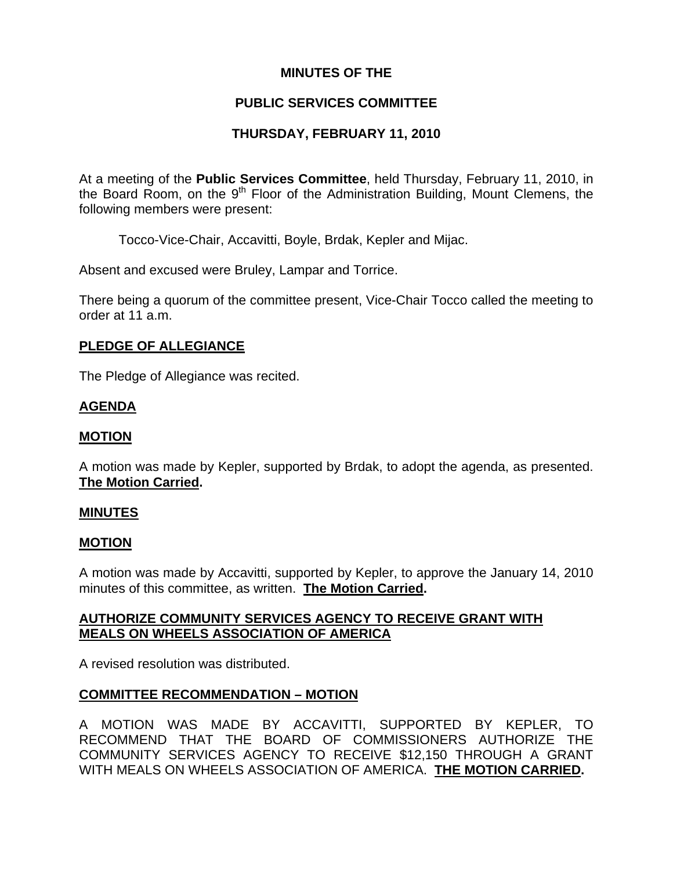### **MINUTES OF THE**

## **PUBLIC SERVICES COMMITTEE**

## **THURSDAY, FEBRUARY 11, 2010**

At a meeting of the **Public Services Committee**, held Thursday, February 11, 2010, in the Board Room, on the  $9<sup>th</sup>$  Floor of the Administration Building, Mount Clemens, the following members were present:

Tocco-Vice-Chair, Accavitti, Boyle, Brdak, Kepler and Mijac.

Absent and excused were Bruley, Lampar and Torrice.

There being a quorum of the committee present, Vice-Chair Tocco called the meeting to order at 11 a.m.

#### **PLEDGE OF ALLEGIANCE**

The Pledge of Allegiance was recited.

### **AGENDA**

#### **MOTION**

A motion was made by Kepler, supported by Brdak, to adopt the agenda, as presented. **The Motion Carried.** 

#### **MINUTES**

#### **MOTION**

A motion was made by Accavitti, supported by Kepler, to approve the January 14, 2010 minutes of this committee, as written. **The Motion Carried.** 

### **AUTHORIZE COMMUNITY SERVICES AGENCY TO RECEIVE GRANT WITH MEALS ON WHEELS ASSOCIATION OF AMERICA**

A revised resolution was distributed.

### **COMMITTEE RECOMMENDATION – MOTION**

A MOTION WAS MADE BY ACCAVITTI, SUPPORTED BY KEPLER, TO RECOMMEND THAT THE BOARD OF COMMISSIONERS AUTHORIZE THE COMMUNITY SERVICES AGENCY TO RECEIVE \$12,150 THROUGH A GRANT WITH MEALS ON WHEELS ASSOCIATION OF AMERICA. **THE MOTION CARRIED.**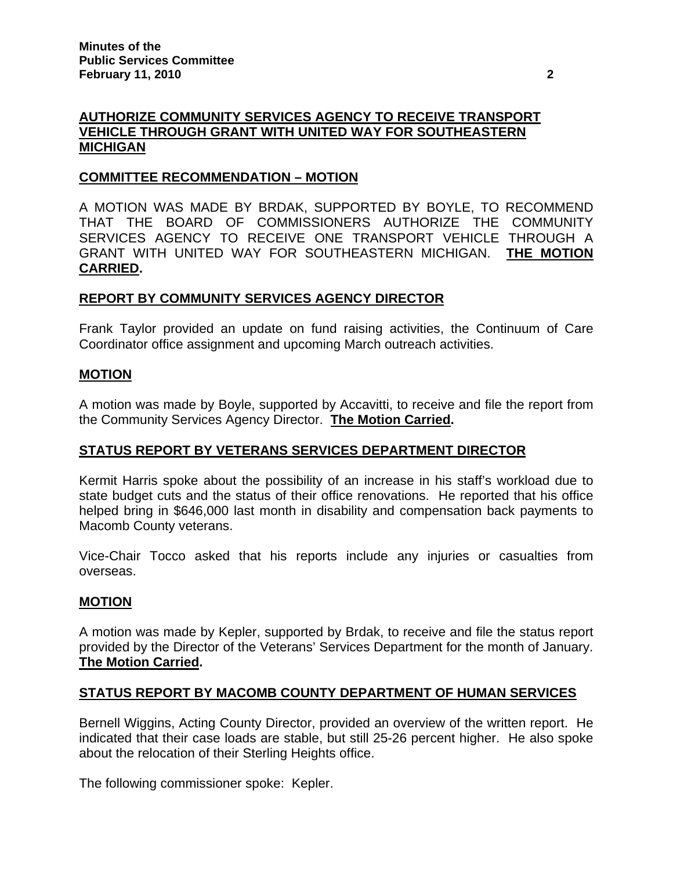## **AUTHORIZE COMMUNITY SERVICES AGENCY TO RECEIVE TRANSPORT VEHICLE THROUGH GRANT WITH UNITED WAY FOR SOUTHEASTERN MICHIGAN**

### **COMMITTEE RECOMMENDATION – MOTION**

A MOTION WAS MADE BY BRDAK, SUPPORTED BY BOYLE, TO RECOMMEND THAT THE BOARD OF COMMISSIONERS AUTHORIZE THE COMMUNITY SERVICES AGENCY TO RECEIVE ONE TRANSPORT VEHICLE THROUGH A GRANT WITH UNITED WAY FOR SOUTHEASTERN MICHIGAN. **THE MOTION CARRIED.** 

### **REPORT BY COMMUNITY SERVICES AGENCY DIRECTOR**

Frank Taylor provided an update on fund raising activities, the Continuum of Care Coordinator office assignment and upcoming March outreach activities.

### **MOTION**

A motion was made by Boyle, supported by Accavitti, to receive and file the report from the Community Services Agency Director. **The Motion Carried.** 

### **STATUS REPORT BY VETERANS SERVICES DEPARTMENT DIRECTOR**

Kermit Harris spoke about the possibility of an increase in his staff's workload due to state budget cuts and the status of their office renovations. He reported that his office helped bring in \$646,000 last month in disability and compensation back payments to Macomb County veterans.

Vice-Chair Tocco asked that his reports include any injuries or casualties from overseas.

### **MOTION**

A motion was made by Kepler, supported by Brdak, to receive and file the status report provided by the Director of the Veterans' Services Department for the month of January. **The Motion Carried.** 

### **STATUS REPORT BY MACOMB COUNTY DEPARTMENT OF HUMAN SERVICES**

Bernell Wiggins, Acting County Director, provided an overview of the written report. He indicated that their case loads are stable, but still 25-26 percent higher. He also spoke about the relocation of their Sterling Heights office.

The following commissioner spoke: Kepler.